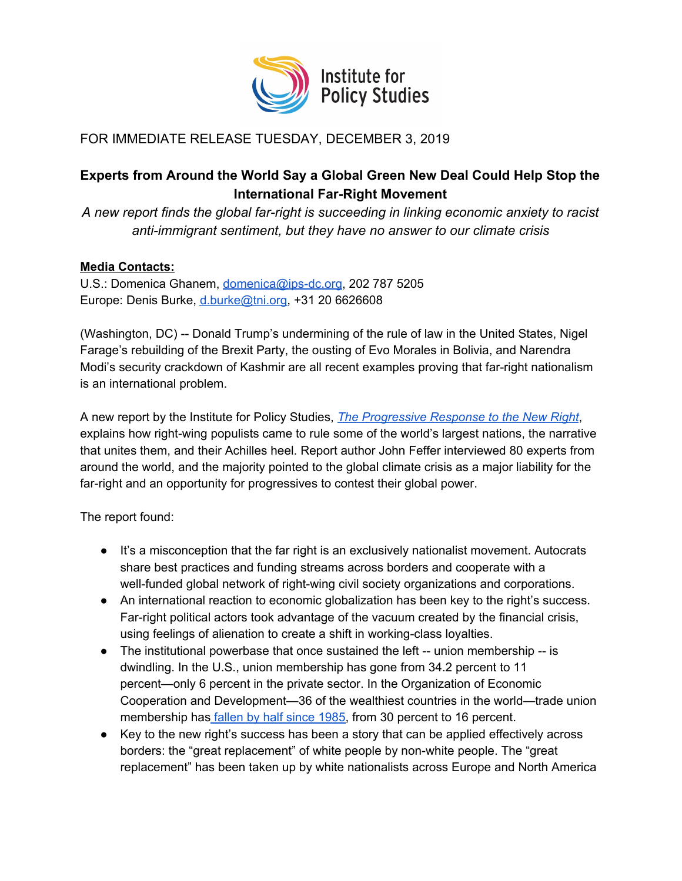

## FOR IMMEDIATE RELEASE TUESDAY, DECEMBER 3, 2019

## **Experts from Around the World Say a Global Green New Deal Could Help Stop the International Far-Right Movement**

*A new report finds the global far-right is succeeding in linking economic anxiety to racist anti-immigrant sentiment, but they have no answer to our climate crisis*

## **Media Contacts:**

U.S.: Domenica Ghanem, [domenica@ips-dc.org,](mailto:domenica@ips-dc.org) 202 787 5205 Europe: Denis Burke, [d.burke@tni.org,](mailto:d.burke@tni.org) +31 20 6626608

(Washington, DC) -- Donald Trump's undermining of the rule of law in the United States, Nigel Farage's rebuilding of the Brexit Party, the ousting of Evo Morales in Bolivia, and Narendra Modi's security crackdown of Kashmir are all recent examples proving that far-right nationalism is an international problem.

A new report by the Institute for Policy Studies, *The [Progressive](https://ips-dc.org/report-progressive-response-new-right/) Response to the New Right*, explains how right-wing populists came to rule some of the world's largest nations, the narrative that unites them, and their Achilles heel. Report author John Feffer interviewed 80 experts from around the world, and the majority pointed to the global climate crisis as a major liability for the far-right and an opportunity for progressives to contest their global power.

The report found:

- It's a misconception that the far right is an exclusively nationalist movement. Autocrats share best practices and funding streams across borders and cooperate with a well-funded global network of right-wing civil society organizations and corporations.
- An international reaction to economic globalization has been key to the right's success. Far-right political actors took advantage of the vacuum created by the financial crisis, using feelings of alienation to create a shift in working-class loyalties.
- The institutional powerbase that once sustained the left -- union membership -- is dwindling. In the U.S., union membership has gone from 34.2 percent to 11 percent—only 6 percent in the private sector. In the Organization of Economic Cooperation and Development—36 of the wealthiest countries in the world—trade union membership has [fallen](https://www.forbes.com/sites/niallmccarthy/2019/05/06/the-state-of-global-trade-union-membership-infographic/#c4d65582b6e4) by half since 1985, from 30 percent to 16 percent.
- Key to the new right's success has been a story that can be applied effectively across borders: the "great replacement" of white people by non-white people. The "great replacement" has been taken up by white nationalists across Europe and North America